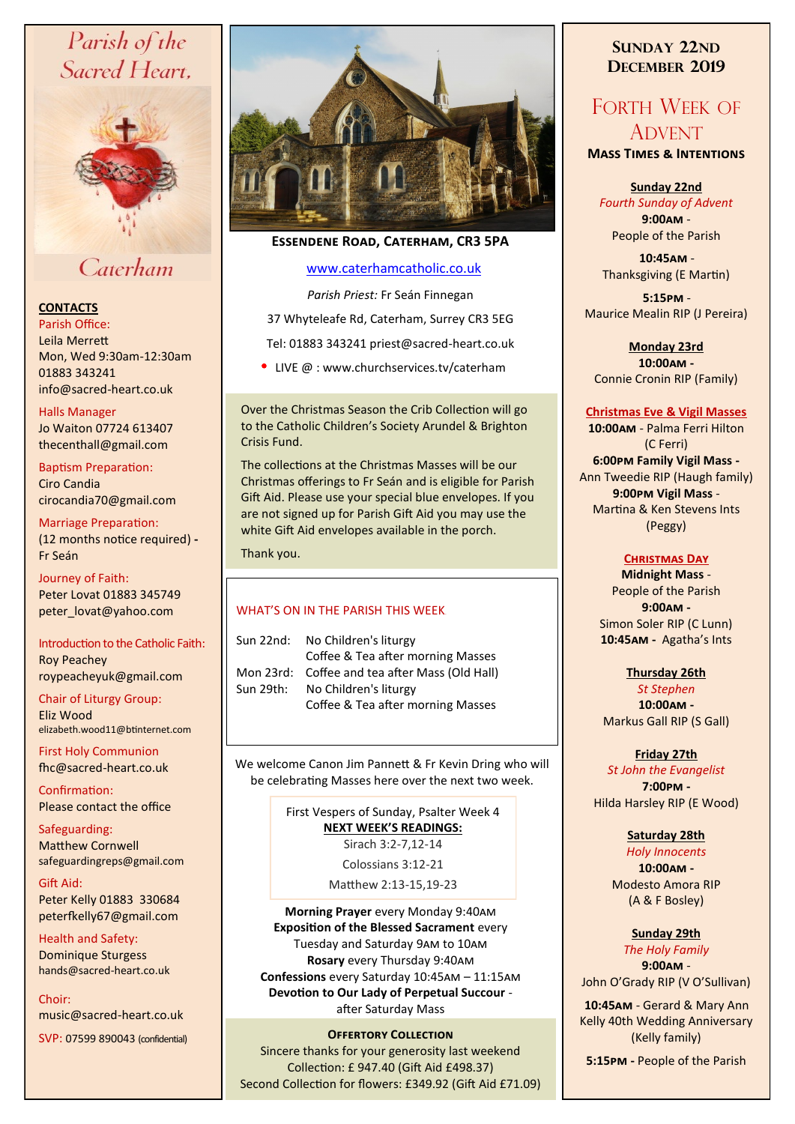# Parish of the Sacred Heart,



# Caterham

# **CONTACTS**

Parish Office: Leila Merrett Mon, Wed 9:30am-12:30am 01883 343241 info@sacred-heart.co.uk .

#### Halls Manager

Jo Waiton 07724 613407 thecenthall@gmail.com

Baptism Preparation: Ciro Candia cirocandia70@gmail.com

Marriage Preparation: (12 months notice required) **-** Fr Seán

Journey of Faith: Peter Lovat 01883 345749 peter\_lovat@yahoo.com

Introduction to the Catholic Faith: Roy Peachey roypeacheyuk@gmail.com

Chair of Liturgy Group: Eliz Wood elizabeth.wood11@btinternet.com

First Holy Communion fhc@sacred-heart.co.uk

Confirmation: Please contact the office

Safeguarding: Matthew Cornwell safeguardingreps@gmail.com

Gift Aid: Peter Kelly 01883 330684 peterfkelly67@gmail.com

Health and Safety: Dominique Sturgess hands@sacred-heart.co.uk

Choir: music@sacred-heart.co.uk

SVP: 07599 890043 (confidential)



# **Essendene Road, Caterham, CR3 5PA**

# [www.caterhamcatholic.co.uk](http://Www.caterhamcatholic.co.uk)

*Parish Priest:* Fr Seán Finnegan

37 Whyteleafe Rd, Caterham, Surrey CR3 5EG

Tel: 01883 343241 priest@sacred-heart.co.uk

• LIVE @ : www.churchservices.tv/caterham

Over the Christmas Season the Crib Collection will go to the Catholic Children's Society Arundel & Brighton Crisis Fund.

The collections at the Christmas Masses will be our Christmas offerings to Fr Seán and is eligible for Parish Gift Aid. Please use your special blue envelopes. If you are not signed up for Parish Gift Aid you may use the white Gift Aid envelopes available in the porch.

Thank you.

# WHAT'S ON IN THE PARISH THIS WEEK.

| Sun 22nd: | No Children's liturgy<br>Coffee & Tea after morning Masses |
|-----------|------------------------------------------------------------|
|           | Mon 23rd: Coffee and tea after Mass (Old Hall)             |
| Sun 29th: | No Children's liturgy                                      |
|           | Coffee & Tea after morning Masses                          |

We welcome Canon Jim Pannett & Fr Kevin Dring who will be celebrating Masses here over the next two week.

> First Vespers of Sunday, Psalter Week 4 **NEXT WEEK'S READINGS:**  Sirach 3:2-7,12-14

Colossians 3:12-21

Matthew 2:13-15,19-23

**Morning Prayer** every Monday 9:40am **Exposition of the Blessed Sacrament** every Tuesday and Saturday 9am to 10am **Rosary** every Thursday 9:40am **Confessions** every Saturday 10:45am – 11:15am **Devotion to Our Lady of Perpetual Succour**  after Saturday Mass

# **Offertory Collection**

Sincere thanks for your generosity last weekend Collection: £ 947.40 (Gift Aid £498.37) Second Collection for flowers: £349.92 (Gift Aid £71.09)

# **SUNDAY 22ND DECEMBER 2019**

# FORTH WEEK OF ADVENT

**Mass Times & Intentions**

#### **Sunday 22nd**

*Fourth Sunday of Advent*  **9:00am** - People of the Parish

.**10:45am** - Thanksgiving (E Martin)

.**5:15pm** - Maurice Mealin RIP (J Pereira)

**Monday 23rd 10:00am -** Connie Cronin RIP (Family)

#### **Christmas Eve & Vigil Masses**

**10:00am** - Palma Ferri Hilton (C Ferri) **6:00pm Family Vigil Mass -** Ann Tweedie RIP (Haugh family) **9:00pm Vigil Mass** - Martina & Ken Stevens Ints (Peggy)

# **Christmas Day**

**Midnight Mass** - People of the Parish **9:00am -** Simon Soler RIP (C Lunn) **10:45am -** Agatha's Ints

# **Thursday 26th**

*St Stephen* **10:00am -** Markus Gall RIP (S Gall)

# **Friday 27th**

*St John the Evangelist*  **7:00pm -** Hilda Harsley RIP (E Wood)

# **Saturday 28th**

*Holy Innocents* **10:00am -**  Modesto Amora RIP (A & F Bosley)

# **Sunday 29th**

*The Holy Family* **9:00am** -

John O'Grady RIP (V O'Sullivan)

.**10:45am** - Gerard & Mary Ann Kelly 40th Wedding Anniversary (Kelly family)

**5:15pm -** People of the Parish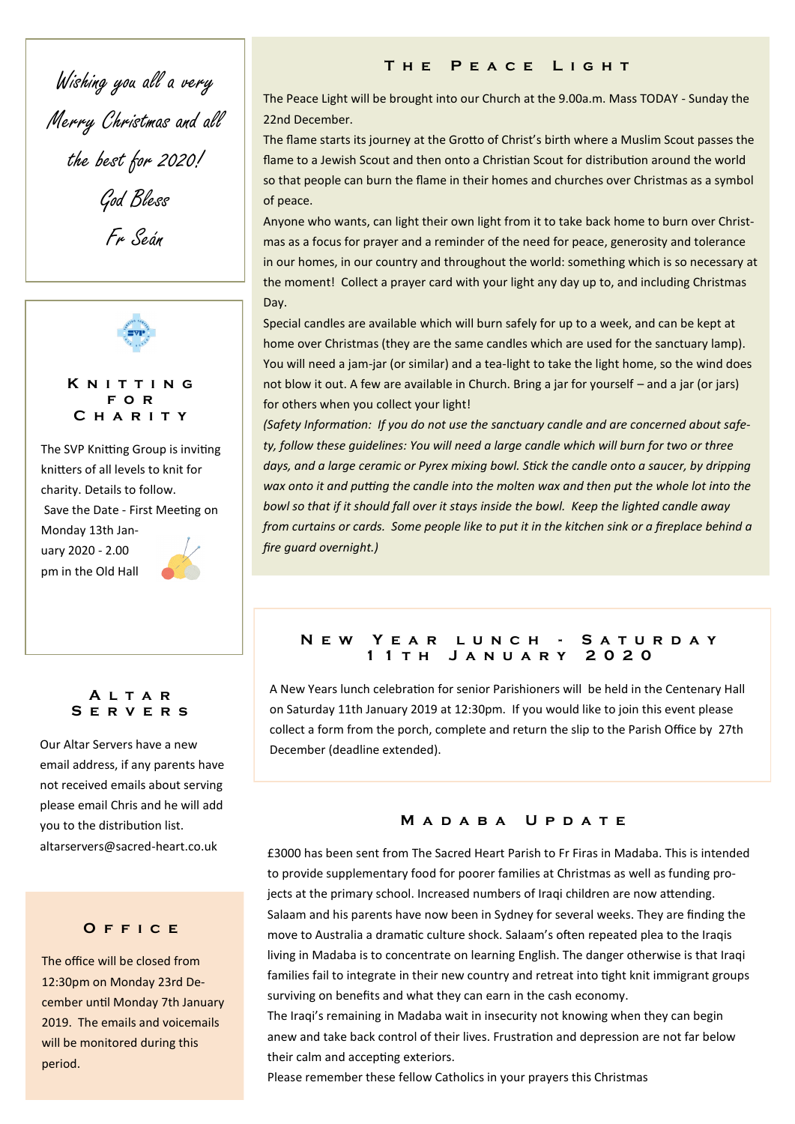Wishing you all a very Merry Christmas and all the best for 2020! God Bless Fr Seán



**K n i t t i n g f o r C h a r i t y**

The SVP Knitting Group is inviting knitters of all levels to knit for charity. Details to follow. Save the Date - First Meeting on Monday 13th Jan-

uary 2020 - 2.00 pm in the Old Hall



# **A l t a r S e r v e r s**

Our Altar Servers have a new email address, if any parents have not received emails about serving please email Chris and he will add you to the distribution list. altarservers@sacred-heart.co.uk

# **O f f i c e**

The office will be closed from 12:30pm on Monday 23rd December until Monday 7th January 2019. The emails and voicemails will be monitored during this period.

# **T h e P e a c e L i g h t**

The Peace Light will be brought into our Church at the 9.00a.m. Mass TODAY - Sunday the 22nd December.

The flame starts its journey at the Grotto of Christ's birth where a Muslim Scout passes the flame to a Jewish Scout and then onto a Christian Scout for distribution around the world so that people can burn the flame in their homes and churches over Christmas as a symbol of peace.

Anyone who wants, can light their own light from it to take back home to burn over Christmas as a focus for prayer and a reminder of the need for peace, generosity and tolerance in our homes, in our country and throughout the world: something which is so necessary at the moment! Collect a prayer card with your light any day up to, and including Christmas Day.

Special candles are available which will burn safely for up to a week, and can be kept at home over Christmas (they are the same candles which are used for the sanctuary lamp). You will need a jam-jar (or similar) and a tea-light to take the light home, so the wind does not blow it out. A few are available in Church. Bring a jar for yourself – and a jar (or jars) for others when you collect your light!

*(Safety Information: If you do not use the sanctuary candle and are concerned about safety, follow these guidelines: You will need a large candle which will burn for two or three days, and a large ceramic or Pyrex mixing bowl. Stick the candle onto a saucer, by dripping wax onto it and putting the candle into the molten wax and then put the whole lot into the bowl so that if it should fall over it stays inside the bowl. Keep the lighted candle away from curtains or cards. Some people like to put it in the kitchen sink or a fireplace behind a fire guard overnight.)*

# **N e w Y e a r l u n c h - S a t u r d a y 1 1 t h J a n u a r y 2 0 2 0**

A New Years lunch celebration for senior Parishioners will be held in the Centenary Hall on Saturday 11th January 2019 at 12:30pm. If you would like to join this event please collect a form from the porch, complete and return the slip to the Parish Office by 27th December (deadline extended).

# **M a d a b a U p d a t e**

£3000 has been sent from The Sacred Heart Parish to Fr Firas in Madaba. This is intended to provide supplementary food for poorer families at Christmas as well as funding projects at the primary school. Increased numbers of Iraqi children are now attending. Salaam and his parents have now been in Sydney for several weeks. They are finding the move to Australia a dramatic culture shock. Salaam's often repeated plea to the Iraqis living in Madaba is to concentrate on learning English. The danger otherwise is that Iraqi families fail to integrate in their new country and retreat into tight knit immigrant groups surviving on benefits and what they can earn in the cash economy.

The Iraqi's remaining in Madaba wait in insecurity not knowing when they can begin anew and take back control of their lives. Frustration and depression are not far below their calm and accepting exteriors.

Please remember these fellow Catholics in your prayers this Christmas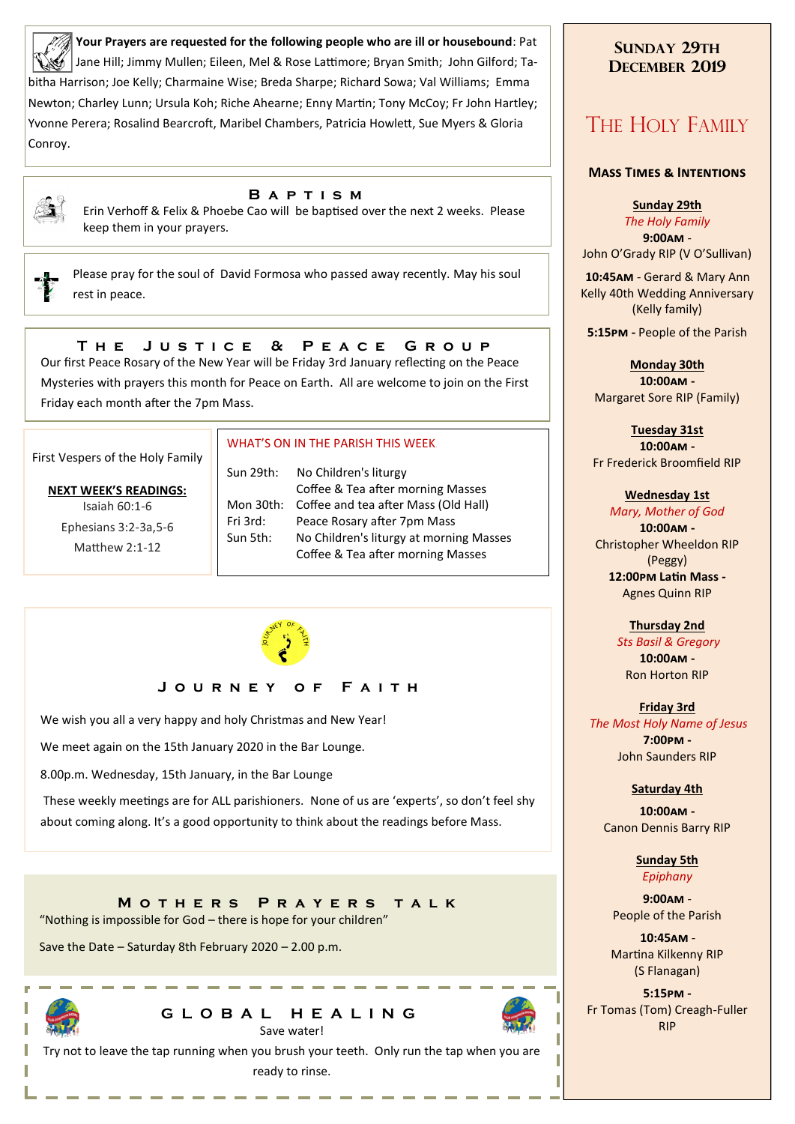**Your Prayers are requested for the following people who are ill or housebound**: Pat Jane Hill; Jimmy Mullen; Eileen, Mel & Rose Lattimore; Bryan Smith; John Gilford; Tabitha Harrison; Joe Kelly; Charmaine Wise; Breda Sharpe; Richard Sowa; Val Williams; Emma Newton; Charley Lunn; Ursula Koh; Riche Ahearne; Enny Martin; Tony McCoy; Fr John Hartley; Yvonne Perera; Rosalind Bearcroft, Maribel Chambers, Patricia Howlett, Sue Myers & Gloria Conroy.



#### **B a p t i s m**

Erin Verhoff & Felix & Phoebe Cao will be baptised over the next 2 weeks. Please keep them in your prayers.

Please pray for the soul of David Formosa who passed away recently. May his soul rest in peace.

# **T h e J u s t i c e & P e a c e G r o u p**

Our first Peace Rosary of the New Year will be Friday 3rd January reflecting on the Peace Mysteries with prayers this month for Peace on Earth. All are welcome to join on the First Friday each month after the 7pm Mass.

First Vespers of the Holy Family

# **NEXT WEEK'S READINGS:**

Isaiah 60:1-6 Ephesians 3:2-3a,5-6 Matthew 2:1-12

### WHAT'S ON IN THE PARISH THIS WEEK.

Sun 29th: No Children's liturgy Coffee & Tea after morning Masses Mon 30th: Coffee and tea after Mass (Old Hall) Fri 3rd: Peace Rosary after 7pm Mass Sun 5th: No Children's liturgy at morning Masses Coffee & Tea after morning Masses



# **J o u r n e y o f F a i t h**

We wish you all a very happy and holy Christmas and New Year!

We meet again on the 15th January 2020 in the Bar Lounge.

8.00p.m. Wednesday, 15th January, in the Bar Lounge

These weekly meetings are for ALL parishioners. None of us are 'experts', so don't feel shy about coming along. It's a good opportunity to think about the readings before Mass.

**M o t h e r s P r a y e r s t a l k**  "Nothing is impossible for God – there is hope for your children"

Save the Date – Saturday 8th February 2020 – 2.00 p.m.



# **G L O B A L H E A L I N G** Save water!



# **SUNDAY 29TH DECEMBER 2019**

# THE HOLY FAMILY

#### **Mass Times & Intentions**

**Sunday 29th**

*The Holy Family* **9:00am** - John O'Grady RIP (V O'Sullivan)

.**10:45am** - Gerard & Mary Ann Kelly 40th Wedding Anniversary (Kelly family)

**5:15pm -** People of the Parish

**Monday 30th 10:00am -** Margaret Sore RIP (Family)

**Tuesday 31st 10:00am -** Fr Frederick Broomfield RIP

#### **Wednesday 1st**

*Mary, Mother of God* **10:00am -** Christopher Wheeldon RIP (Peggy) **12:00pm Latin Mass -** Agnes Quinn RIP

# **Thursday 2nd**

*Sts Basil & Gregory* **10:00am -** Ron Horton RIP

**Friday 3rd** *The Most Holy Name of Jesus* **7:00pm -** John Saunders RIP

#### **Saturday 4th**

**10:00am -**  Canon Dennis Barry RIP

> **Sunday 5th** *Epiphany*

**9:00am** - People of the Parish

.**10:45am** - Martina Kilkenny RIP (S Flanagan)

**5:15pm -** Fr Tomas (Tom) Creagh-Fuller RIP

Try not to leave the tap running when you brush your teeth. Only run the tap when you are ready to rinse.